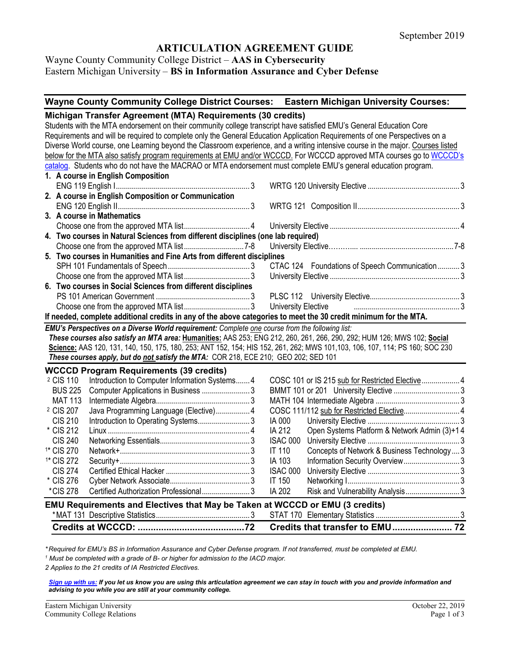## **ARTICULATION AGREEMENT GUIDE**

## Wayne County Community College District – **AAS in Cybersecurity** Eastern Michigan University – **BS in Information Assurance and Cyber Defense**

## **Wayne County Community College District Courses: Eastern Michigan University Courses:**

| Michigan Transfer Agreement (MTA) Requirements (30 credits)                                                                |                                                                                                                                 |
|----------------------------------------------------------------------------------------------------------------------------|---------------------------------------------------------------------------------------------------------------------------------|
| Students with the MTA endorsement on their community college transcript have satisfied EMU's General Education Core        |                                                                                                                                 |
| Requirements and will be required to complete only the General Education Application Requirements of one Perspectives on a |                                                                                                                                 |
|                                                                                                                            | Diverse World course, one Learning beyond the Classroom experience, and a writing intensive course in the major. Courses listed |
|                                                                                                                            | below for the MTA also satisfy program requirements at EMU and/or WCCCD. For WCCCD approved MTA courses go to WCCCD's           |
| catalog. Students who do not have the MACRAO or MTA endorsement must complete EMU's general education program.             |                                                                                                                                 |
| 1. A course in English Composition                                                                                         |                                                                                                                                 |
|                                                                                                                            |                                                                                                                                 |
| 2. A course in English Composition or Communication                                                                        |                                                                                                                                 |
|                                                                                                                            |                                                                                                                                 |
| 3. A course in Mathematics                                                                                                 |                                                                                                                                 |
|                                                                                                                            |                                                                                                                                 |
| 4. Two courses in Natural Sciences from different disciplines (one lab required)                                           |                                                                                                                                 |
|                                                                                                                            |                                                                                                                                 |
| 5. Two courses in Humanities and Fine Arts from different disciplines                                                      |                                                                                                                                 |
|                                                                                                                            | CTAC 124 Foundations of Speech Communication  3                                                                                 |
|                                                                                                                            |                                                                                                                                 |
| 6. Two courses in Social Sciences from different disciplines                                                               |                                                                                                                                 |
|                                                                                                                            |                                                                                                                                 |
|                                                                                                                            | University Elective <b>Constantine Contract Constructs</b> 3                                                                    |
| If needed, complete additional credits in any of the above categories to meet the 30 credit minimum for the MTA.           |                                                                                                                                 |
|                                                                                                                            |                                                                                                                                 |
| EMU's Perspectives on a Diverse World requirement: Complete one course from the following list:                            |                                                                                                                                 |
| These courses also satisfy an MTA area: Humanities: AAS 253; ENG 212, 260, 261, 266, 290, 292; HUM 126; MWS 102; Social    |                                                                                                                                 |
|                                                                                                                            | Science: AAS 120, 131, 140, 150, 175, 180, 253; ANT 152, 154; HIS 152, 261, 262; MWS 101, 103, 106, 107, 114; PS 160; SOC 230   |
| These courses apply, but do not satisfy the MTA: COR 218, ECE 210; GEO 202; SED 101                                        |                                                                                                                                 |
| <b>WCCCD Program Requirements (39 credits)</b>                                                                             |                                                                                                                                 |
| <sup>2</sup> CIS 110<br>Introduction to Computer Information Systems 4                                                     | COSC 101 or IS 215 sub for Restricted Elective 4                                                                                |
| <b>BUS 225</b>                                                                                                             |                                                                                                                                 |
| <b>MAT 113</b>                                                                                                             |                                                                                                                                 |
| <sup>2</sup> CIS 207<br>Java Programming Language (Elective) 4                                                             |                                                                                                                                 |
| <b>CIS 210</b><br>Introduction to Operating Systems3                                                                       | IA 000                                                                                                                          |
| * CIS 212                                                                                                                  | IA 212<br>Open Systems Platform & Network Admin (3)+14                                                                          |
| <b>CIS 240</b>                                                                                                             | <b>ISAC 000</b>                                                                                                                 |
| <sup>1*</sup> CIS 270                                                                                                      | Concepts of Network & Business Technology 3<br><b>IT 110</b>                                                                    |
| <sup>1*</sup> CIS 272                                                                                                      | IA 103<br>Information Security Overview3                                                                                        |
| <b>CIS 274</b>                                                                                                             | <b>ISAC 000</b>                                                                                                                 |
| * CIS 276                                                                                                                  | <b>IT 150</b>                                                                                                                   |
| *CIS 278<br>Certified Authorization Professional3                                                                          | IA 202<br>Risk and Vulnerability Analysis3                                                                                      |
|                                                                                                                            |                                                                                                                                 |
| EMU Requirements and Electives that May be Taken at WCCCD or EMU (3 credits)                                               |                                                                                                                                 |

*\* Required for EMU's BS in Information Assurance and Cyber Defense program. If not transferred, must be completed at EMU.* 

*<sup>1</sup> Must be completed with a grade of B- or higher for admission to the IACD major.*

*2 Applies to the 21 credits of IA Restricted Electives.* 

*[Sign up with us:](https://www.emich.edu/ccr/articulation-agreements/signup.php) If you let us know you are using this articulation agreement we can stay in touch with you and provide information and advising to you while you are still at your community college.*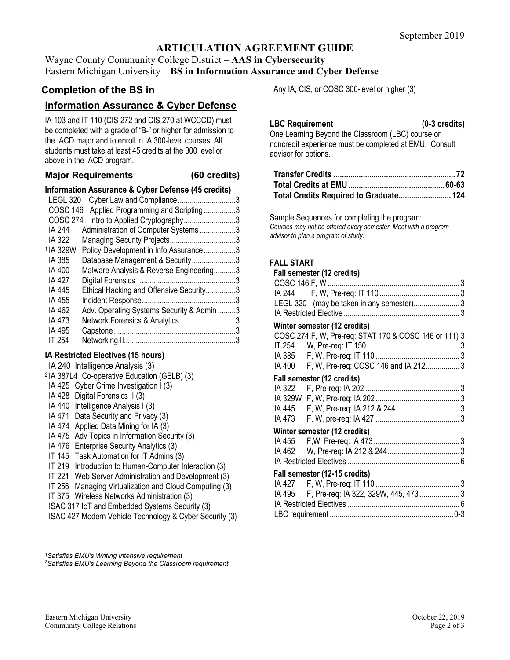# **ARTICULATION AGREEMENT GUIDE**

Wayne County Community College District – **AAS in Cybersecurity** Eastern Michigan University – **BS in Information Assurance and Cyber Defense**

## **Completion of the BS in**

# **Information Assurance & Cyber Defense**

IA 103 and IT 110 (CIS 272 and CIS 270 at WCCCD) must be completed with a grade of "B-" or higher for admission to the IACD major and to enroll in IA 300-level courses. All students must take at least 45 credits at the 300 level or above in the IACD program.

#### **Major Requirements (60 credits)**

| Information Assurance & Cyber Defense (45 credits) |                                             |  |  |  |
|----------------------------------------------------|---------------------------------------------|--|--|--|
| LEGL 320                                           | Cyber Law and Compliance3                   |  |  |  |
|                                                    | COSC 146 Applied Programming and Scripting3 |  |  |  |
|                                                    | COSC 274 Intro to Applied Cryptography3     |  |  |  |
| IA 244                                             | Administration of Computer Systems 3        |  |  |  |
| IA 322                                             |                                             |  |  |  |
| <sup>1</sup> IA 329W                               | Policy Development in Info Assurance3       |  |  |  |
| IA 385                                             | Database Management & Security3             |  |  |  |
| IA 400                                             | Malware Analysis & Reverse Engineering3     |  |  |  |
| IA 427                                             |                                             |  |  |  |
| IA 445                                             | Ethical Hacking and Offensive Security3     |  |  |  |
| IA 455                                             |                                             |  |  |  |
| IA 462                                             | Adv. Operating Systems Security & Admin 3   |  |  |  |
| IA 473                                             | Network Forensics & Analytics3              |  |  |  |
| IA 495                                             |                                             |  |  |  |
| IT 254                                             |                                             |  |  |  |

## **IA Restricted Electives (15 hours)**

|        | IA 240 Intelligence Analysis (3)                        |
|--------|---------------------------------------------------------|
|        | <sup>2</sup> IA 387L4 Co-operative Education (GELB) (3) |
|        | IA 425 Cyber Crime Investigation I (3)                  |
|        | IA 428 Digital Forensics II (3)                         |
|        | IA 440 Intelligence Analysis I (3)                      |
|        | IA 471 Data Security and Privacy (3)                    |
|        | IA 474 Applied Data Mining for IA (3)                   |
| IA 475 | Adv Topics in Information Security (3)                  |
|        | IA 476 Enterprise Security Analytics (3)                |
|        | IT 145 Task Automation for IT Admins (3)                |
| IT 219 | Introduction to Human-Computer Interaction (3)          |
|        | IT 221 Web Server Administration and Development (3)    |
| IT 256 | Managing Virtualization and Cloud Computing (3)         |
|        | IT 375 Wireless Networks Administration (3)             |
|        | ISAC 317 IoT and Embedded Systems Security (3)          |
|        | ISAC 427 Modern Vehicle Technology & Cyber Security (3) |

1 *Satisfies EMU's Writing Intensive requirement* 2 *Satisfies EMU's Learning Beyond the Classroom requirement* Any IA, CIS, or COSC 300-level or higher (3)

## **LBC Requirement (0-3 credits)**

One Learning Beyond the Classroom (LBC) course or noncredit experience must be completed at EMU. Consult advisor for options.

| Total Credits Required to Graduate 124 |  |
|----------------------------------------|--|

Sample Sequences for completing the program: *Courses may not be offered every semester. Meet with a program advisor to plan a program of study.*

## **FALL START**

#### **Fall semester (12 credits)**

|                               | LEGL 320 (may be taken in any semester)3              |  |  |
|-------------------------------|-------------------------------------------------------|--|--|
| Winter semester (12 credits)  |                                                       |  |  |
|                               | COSC 274 F, W, Pre-req: STAT 170 & COSC 146 or 111) 3 |  |  |
|                               |                                                       |  |  |
|                               | IA 400 F, W, Pre-req: COSC 146 and IA 2123            |  |  |
| Fall semester (12 credits)    |                                                       |  |  |
| IA 322                        |                                                       |  |  |
|                               |                                                       |  |  |
| IA 445                        |                                                       |  |  |
| IA 473                        |                                                       |  |  |
| Winter semester (12 credits)  |                                                       |  |  |
|                               |                                                       |  |  |
|                               |                                                       |  |  |
|                               |                                                       |  |  |
| Fall semester (12-15 credits) |                                                       |  |  |
|                               |                                                       |  |  |
|                               | IA 495 F, Pre-req: IA 322, 329W, 445, 473 3           |  |  |
|                               |                                                       |  |  |
|                               |                                                       |  |  |
|                               |                                                       |  |  |